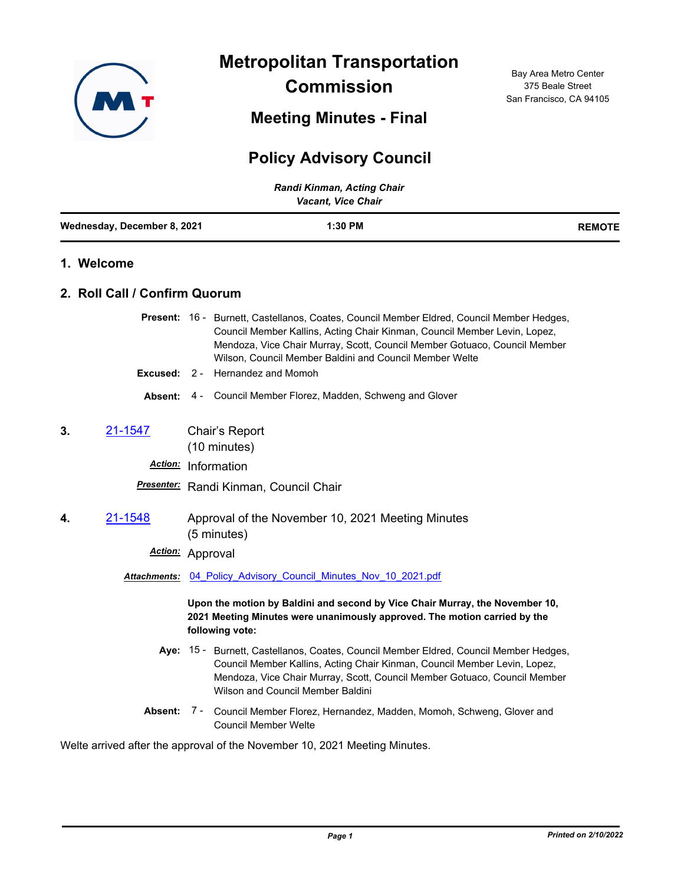

**Metropolitan Transportation** 

**Commission**

**Meeting Minutes - Final**

## **Policy Advisory Council**

| Randi Kinman, Acting Chair<br><b>Vacant, Vice Chair</b> |                               |                                                                                                                                                                                                                                                                                                                |               |  |
|---------------------------------------------------------|-------------------------------|----------------------------------------------------------------------------------------------------------------------------------------------------------------------------------------------------------------------------------------------------------------------------------------------------------------|---------------|--|
|                                                         | Wednesday, December 8, 2021   | 1:30 PM                                                                                                                                                                                                                                                                                                        | <b>REMOTE</b> |  |
|                                                         | 1. Welcome                    |                                                                                                                                                                                                                                                                                                                |               |  |
|                                                         | 2. Roll Call / Confirm Quorum |                                                                                                                                                                                                                                                                                                                |               |  |
|                                                         |                               | Present: 16 - Burnett, Castellanos, Coates, Council Member Eldred, Council Member Hedges,<br>Council Member Kallins, Acting Chair Kinman, Council Member Levin, Lopez,<br>Mendoza, Vice Chair Murray, Scott, Council Member Gotuaco, Council Member<br>Wilson, Council Member Baldini and Council Member Welte |               |  |
|                                                         |                               | <b>Excused: 2 - Hernandez and Momoh</b><br><b>Absent:</b> 4 - Council Member Florez, Madden, Schweng and Glover                                                                                                                                                                                                |               |  |
| 3.                                                      | 21-1547                       | Chair's Report<br>(10 minutes)                                                                                                                                                                                                                                                                                 |               |  |
|                                                         |                               | Action: Information                                                                                                                                                                                                                                                                                            |               |  |
|                                                         |                               | Presenter: Randi Kinman, Council Chair                                                                                                                                                                                                                                                                         |               |  |
| 4.                                                      | 21-1548                       | Approval of the November 10, 2021 Meeting Minutes<br>(5 minutes)                                                                                                                                                                                                                                               |               |  |
|                                                         | Action:                       | Approval                                                                                                                                                                                                                                                                                                       |               |  |
|                                                         |                               | <b>Attachments:</b> 04 Policy Advisory Council Minutes Nov 10 2021.pdf                                                                                                                                                                                                                                         |               |  |
|                                                         |                               | Upon the motion by Baldini and second by Vice Chair Murray, the November 10,<br>2021 Meeting Minutes were unanimously approved. The motion carried by the<br>following vote:                                                                                                                                   |               |  |
|                                                         |                               | Aye: 15 - Burnett, Castellanos, Coates, Council Member Eldred, Council Member Hedges,<br>Council Member Kallins, Acting Chair Kinman, Council Member Levin, Lopez,<br>Mendoza, Vice Chair Murray, Scott, Council Member Gotuaco, Council Member<br>Wilson and Council Member Baldini                           |               |  |
|                                                         |                               | Absent: 7 - Council Member Florez, Hernandez, Madden, Momoh, Schweng, Glover and<br><b>Council Member Welte</b>                                                                                                                                                                                                |               |  |
|                                                         |                               |                                                                                                                                                                                                                                                                                                                |               |  |

Welte arrived after the approval of the November 10, 2021 Meeting Minutes.

Bay Area Metro Center 375 Beale Street San Francisco, CA 94105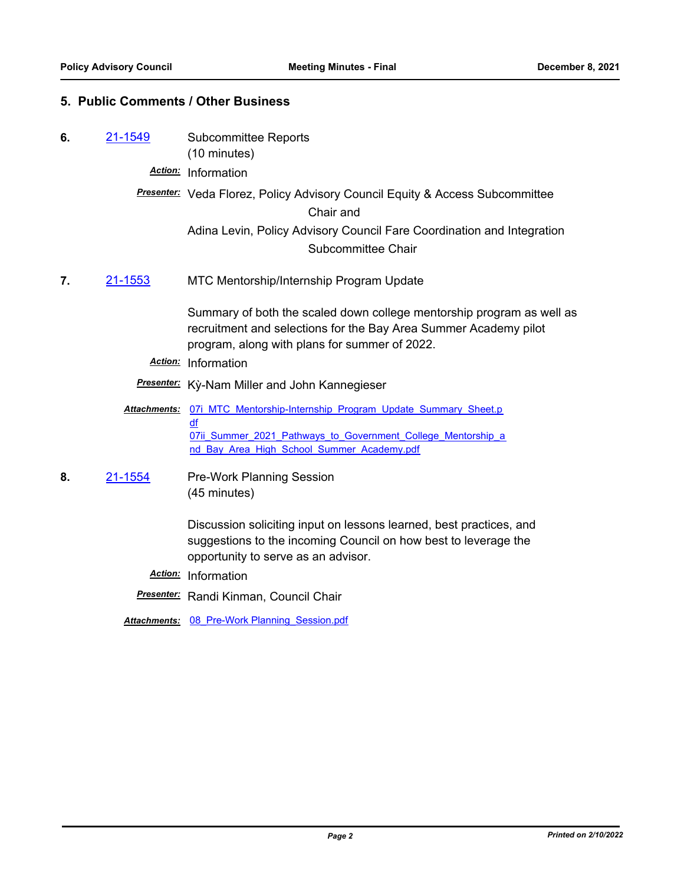## **5. Public Comments / Other Business**

- **6.** [21-1549](http://mtc.legistar.com/gateway.aspx?m=l&id=/matter.aspx?key=23142) Subcommittee Reports (10 minutes)
	- *Action:* Information

## *Presenter:* Veda Florez, Policy Advisory Council Equity & Access Subcommittee Chair and Adina Levin, Policy Advisory Council Fare Coordination and Integration

- Subcommittee Chair
- **7.** [21-1553](http://mtc.legistar.com/gateway.aspx?m=l&id=/matter.aspx?key=23146) MTC Mentorship/Internship Program Update

Summary of both the scaled down college mentorship program as well as recruitment and selections for the Bay Area Summer Academy pilot program, along with plans for summer of 2022.

- *Action:* Information
- *Presenter:* Kỳ-Nam Miller and John Kannegieser
- Attachments: 07i MTC Mentorship-Internship Program Update Summary Sheet.p df 07ii Summer 2021 Pathways to Government College Mentorship a nd Bay Area High School Summer Academy.pdf
- **8.** [21-1554](http://mtc.legistar.com/gateway.aspx?m=l&id=/matter.aspx?key=23147) Pre-Work Planning Session (45 minutes)

Discussion soliciting input on lessons learned, best practices, and suggestions to the incoming Council on how best to leverage the opportunity to serve as an advisor.

- *Action:* Information
- *Presenter:* Randi Kinman, Council Chair

*Attachments:* [08\\_Pre-Work Planning\\_Session.pdf](http://mtc.legistar.com/gateway.aspx?M=F&ID=f87ecd9d-a09a-4bf4-a22e-555ecef3b5a7.pdf)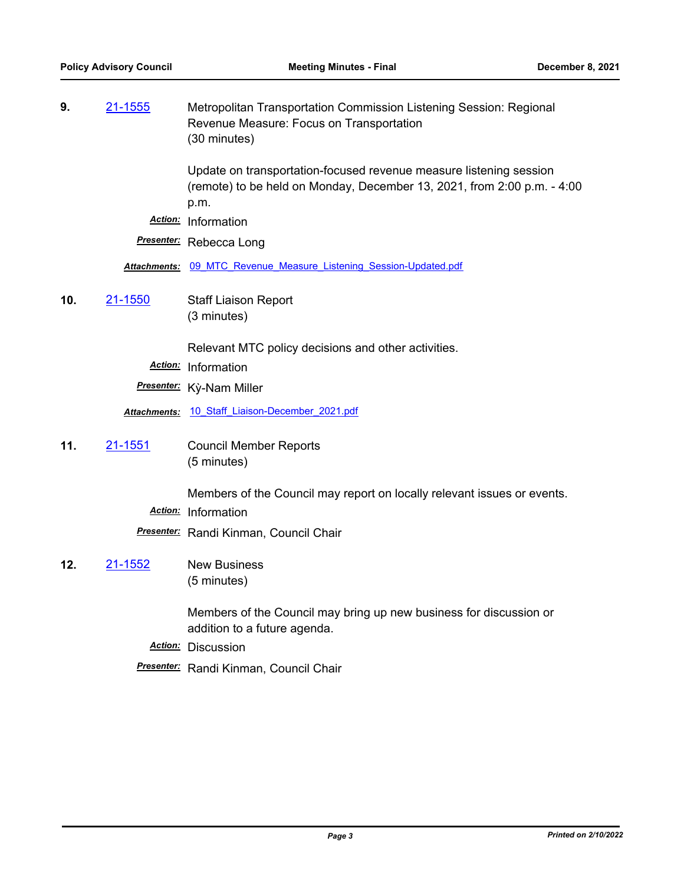| 9.<br><u>21-1555</u>  | Metropolitan Transportation Commission Listening Session: Regional<br>Revenue Measure: Focus on Transportation<br>(30 minutes)                        |
|-----------------------|-------------------------------------------------------------------------------------------------------------------------------------------------------|
|                       | Update on transportation-focused revenue measure listening session<br>(remote) to be held on Monday, December 13, 2021, from 2:00 p.m. - 4:00<br>p.m. |
|                       | Action: Information                                                                                                                                   |
|                       | Presenter: Rebecca Long                                                                                                                               |
|                       | Attachments: 09 MTC Revenue Measure Listening Session-Updated.pdf                                                                                     |
| 10.<br><u>21-1550</u> | <b>Staff Liaison Report</b>                                                                                                                           |
|                       | (3 minutes)                                                                                                                                           |
|                       | Relevant MTC policy decisions and other activities.                                                                                                   |
|                       | Action: Information                                                                                                                                   |
|                       |                                                                                                                                                       |
|                       | Presenter: Kỳ-Nam Miller                                                                                                                              |
|                       | Attachments: 10 Staff Liaison-December 2021.pdf                                                                                                       |
| 21-1551<br>11.        | <b>Council Member Reports</b>                                                                                                                         |
|                       | (5 minutes)                                                                                                                                           |
|                       |                                                                                                                                                       |
|                       | Members of the Council may report on locally relevant issues or events.                                                                               |
|                       | Action: Information                                                                                                                                   |
|                       | <b>Presenter:</b> Randi Kinman, Council Chair                                                                                                         |
| 12.<br><u>21-1552</u> | <b>New Business</b><br>(5 minutes)                                                                                                                    |
|                       |                                                                                                                                                       |
|                       | Members of the Council may bring up new business for discussion or<br>addition to a future agenda.                                                    |
|                       | Action: Discussion                                                                                                                                    |
|                       |                                                                                                                                                       |